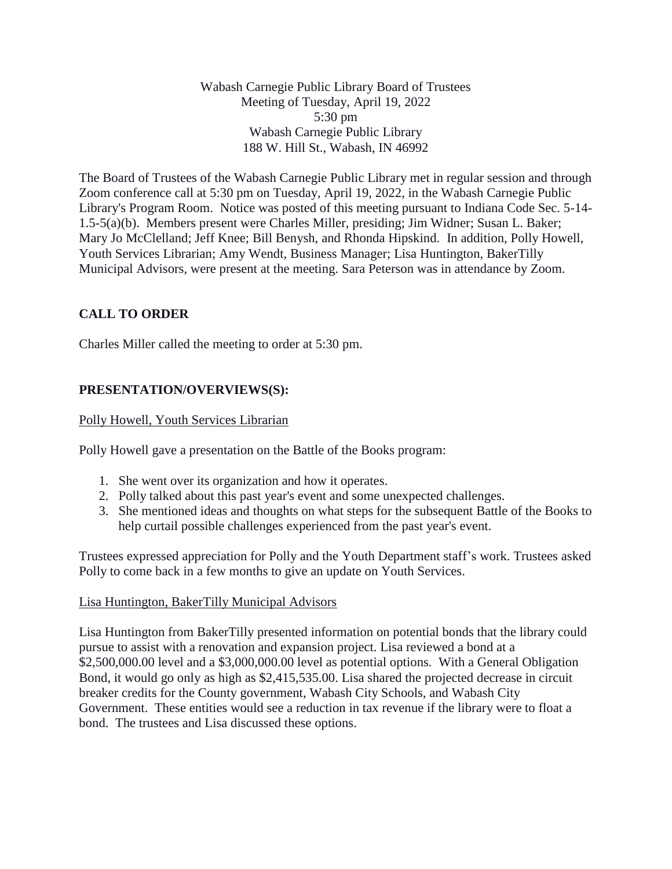Wabash Carnegie Public Library Board of Trustees Meeting of Tuesday, April 19, 2022 5:30 pm Wabash Carnegie Public Library 188 W. Hill St., Wabash, IN 46992

The Board of Trustees of the Wabash Carnegie Public Library met in regular session and through Zoom conference call at 5:30 pm on Tuesday, April 19, 2022, in the Wabash Carnegie Public Library's Program Room. Notice was posted of this meeting pursuant to Indiana Code Sec. 5-14- 1.5-5(a)(b). Members present were Charles Miller, presiding; Jim Widner; Susan L. Baker; Mary Jo McClelland; Jeff Knee; Bill Benysh, and Rhonda Hipskind. In addition, Polly Howell, Youth Services Librarian; Amy Wendt, Business Manager; Lisa Huntington, BakerTilly Municipal Advisors, were present at the meeting. Sara Peterson was in attendance by Zoom.

# **CALL TO ORDER**

Charles Miller called the meeting to order at 5:30 pm.

# **PRESENTATION/OVERVIEWS(S):**

# Polly Howell, Youth Services Librarian

Polly Howell gave a presentation on the Battle of the Books program:

- 1. She went over its organization and how it operates.
- 2. Polly talked about this past year's event and some unexpected challenges.
- 3. She mentioned ideas and thoughts on what steps for the subsequent Battle of the Books to help curtail possible challenges experienced from the past year's event.

Trustees expressed appreciation for Polly and the Youth Department staff's work. Trustees asked Polly to come back in a few months to give an update on Youth Services.

#### Lisa Huntington, BakerTilly Municipal Advisors

Lisa Huntington from BakerTilly presented information on potential bonds that the library could pursue to assist with a renovation and expansion project. Lisa reviewed a bond at a \$2,500,000.00 level and a \$3,000,000.00 level as potential options. With a General Obligation Bond, it would go only as high as \$2,415,535.00. Lisa shared the projected decrease in circuit breaker credits for the County government, Wabash City Schools, and Wabash City Government. These entities would see a reduction in tax revenue if the library were to float a bond. The trustees and Lisa discussed these options.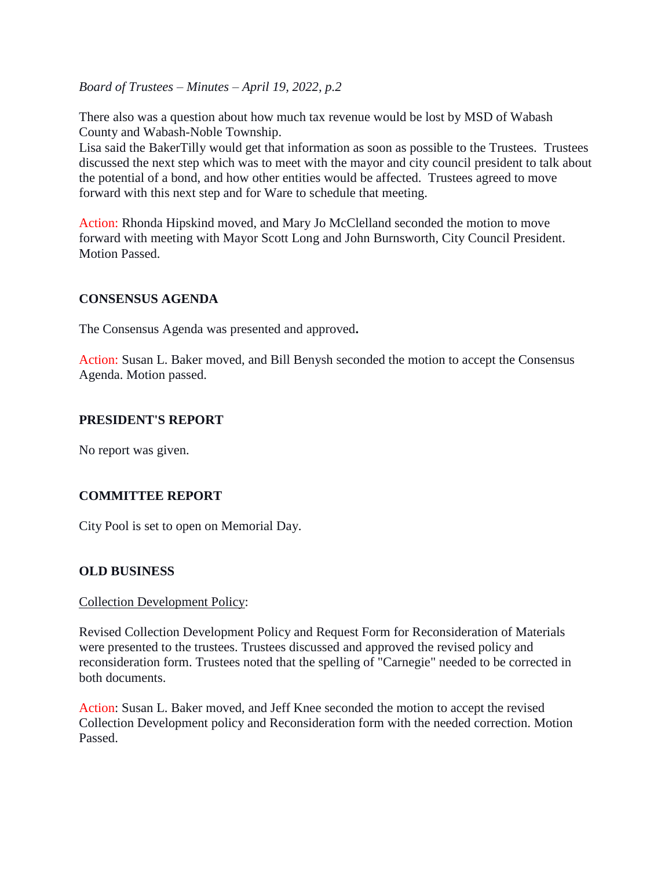There also was a question about how much tax revenue would be lost by MSD of Wabash County and Wabash-Noble Township.

Lisa said the BakerTilly would get that information as soon as possible to the Trustees. Trustees discussed the next step which was to meet with the mayor and city council president to talk about the potential of a bond, and how other entities would be affected. Trustees agreed to move forward with this next step and for Ware to schedule that meeting.

Action: Rhonda Hipskind moved, and Mary Jo McClelland seconded the motion to move forward with meeting with Mayor Scott Long and John Burnsworth, City Council President. Motion Passed.

### **CONSENSUS AGENDA**

The Consensus Agenda was presented and approved**.**

Action: Susan L. Baker moved, and Bill Benysh seconded the motion to accept the Consensus Agenda. Motion passed.

# **PRESIDENT'S REPORT**

No report was given.

# **COMMITTEE REPORT**

City Pool is set to open on Memorial Day.

# **OLD BUSINESS**

#### Collection Development Policy:

Revised Collection Development Policy and Request Form for Reconsideration of Materials were presented to the trustees. Trustees discussed and approved the revised policy and reconsideration form. Trustees noted that the spelling of "Carnegie" needed to be corrected in both documents.

Action: Susan L. Baker moved, and Jeff Knee seconded the motion to accept the revised Collection Development policy and Reconsideration form with the needed correction. Motion Passed.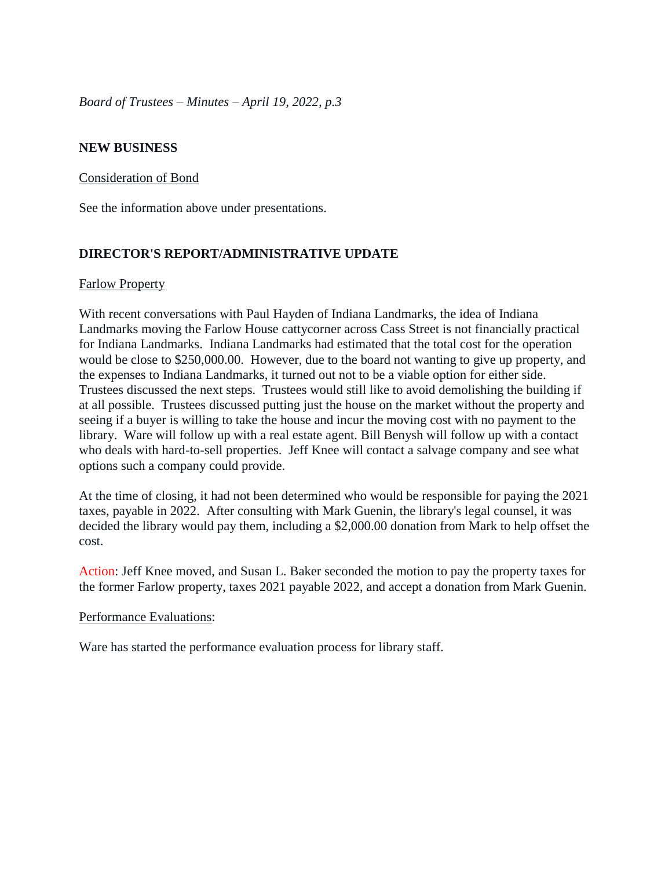# **NEW BUSINESS**

### Consideration of Bond

See the information above under presentations.

# **DIRECTOR'S REPORT/ADMINISTRATIVE UPDATE**

### Farlow Property

With recent conversations with Paul Hayden of Indiana Landmarks, the idea of Indiana Landmarks moving the Farlow House cattycorner across Cass Street is not financially practical for Indiana Landmarks. Indiana Landmarks had estimated that the total cost for the operation would be close to \$250,000.00. However, due to the board not wanting to give up property, and the expenses to Indiana Landmarks, it turned out not to be a viable option for either side. Trustees discussed the next steps. Trustees would still like to avoid demolishing the building if at all possible. Trustees discussed putting just the house on the market without the property and seeing if a buyer is willing to take the house and incur the moving cost with no payment to the library. Ware will follow up with a real estate agent. Bill Benysh will follow up with a contact who deals with hard-to-sell properties. Jeff Knee will contact a salvage company and see what options such a company could provide.

At the time of closing, it had not been determined who would be responsible for paying the 2021 taxes, payable in 2022. After consulting with Mark Guenin, the library's legal counsel, it was decided the library would pay them, including a \$2,000.00 donation from Mark to help offset the cost.

Action: Jeff Knee moved, and Susan L. Baker seconded the motion to pay the property taxes for the former Farlow property, taxes 2021 payable 2022, and accept a donation from Mark Guenin.

#### Performance Evaluations:

Ware has started the performance evaluation process for library staff.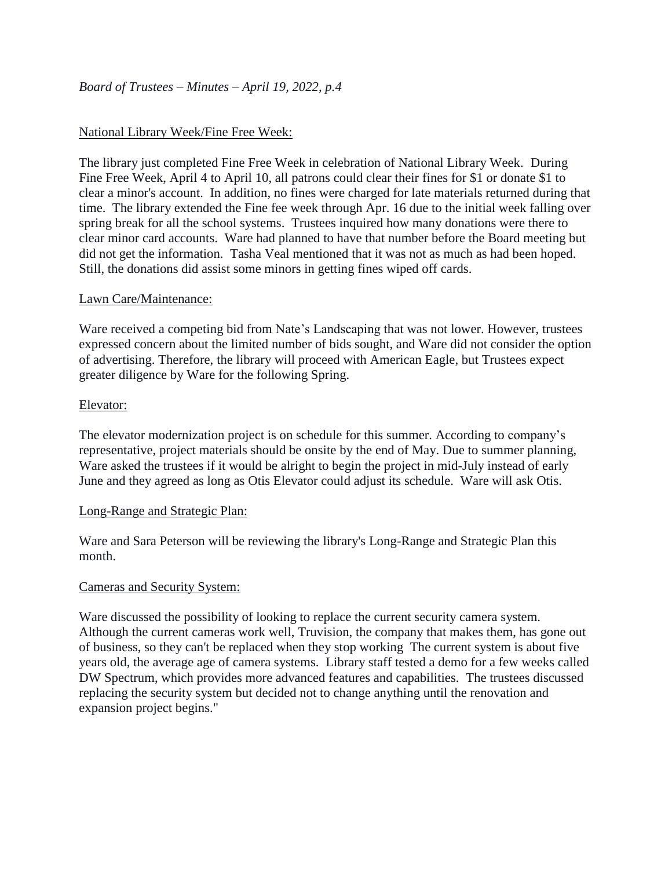# National Library Week/Fine Free Week:

The library just completed Fine Free Week in celebration of National Library Week. During Fine Free Week, April 4 to April 10, all patrons could clear their fines for \$1 or donate \$1 to clear a minor's account. In addition, no fines were charged for late materials returned during that time. The library extended the Fine fee week through Apr. 16 due to the initial week falling over spring break for all the school systems. Trustees inquired how many donations were there to clear minor card accounts. Ware had planned to have that number before the Board meeting but did not get the information. Tasha Veal mentioned that it was not as much as had been hoped. Still, the donations did assist some minors in getting fines wiped off cards.

# Lawn Care/Maintenance:

Ware received a competing bid from Nate's Landscaping that was not lower. However, trustees expressed concern about the limited number of bids sought, and Ware did not consider the option of advertising. Therefore, the library will proceed with American Eagle, but Trustees expect greater diligence by Ware for the following Spring.

### Elevator:

The elevator modernization project is on schedule for this summer. According to company's representative, project materials should be onsite by the end of May. Due to summer planning, Ware asked the trustees if it would be alright to begin the project in mid-July instead of early June and they agreed as long as Otis Elevator could adjust its schedule. Ware will ask Otis.

#### Long-Range and Strategic Plan:

Ware and Sara Peterson will be reviewing the library's Long-Range and Strategic Plan this month.

# Cameras and Security System:

Ware discussed the possibility of looking to replace the current security camera system. Although the current cameras work well, Truvision, the company that makes them, has gone out of business, so they can't be replaced when they stop working The current system is about five years old, the average age of camera systems. Library staff tested a demo for a few weeks called DW Spectrum, which provides more advanced features and capabilities. The trustees discussed replacing the security system but decided not to change anything until the renovation and expansion project begins."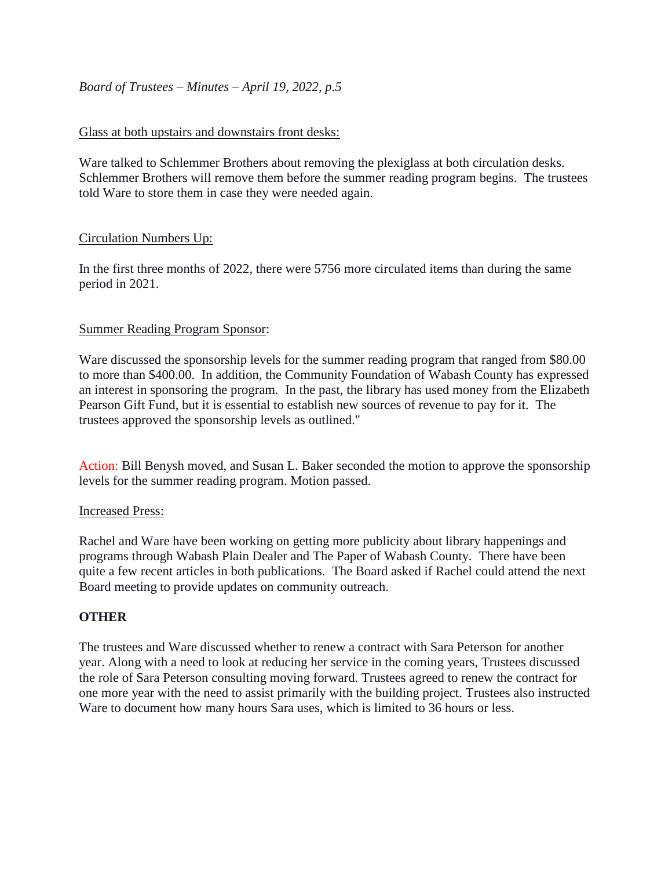# Glass at both upstairs and downstairs front desks:

Ware talked to Schlemmer Brothers about removing the plexiglass at both circulation desks. Schlemmer Brothers will remove them before the summer reading program begins. The trustees told Ware to store them in case they were needed again.

# Circulation Numbers Up:

In the first three months of 2022, there were 5756 more circulated items than during the same period in 2021.

# Summer Reading Program Sponsor:

Ware discussed the sponsorship levels for the summer reading program that ranged from \$80.00 to more than \$400.00. In addition, the Community Foundation of Wabash County has expressed an interest in sponsoring the program. In the past, the library has used money from the Elizabeth Pearson Gift Fund, but it is essential to establish new sources of revenue to pay for it. The trustees approved the sponsorship levels as outlined."

Action: Bill Benysh moved, and Susan L. Baker seconded the motion to approve the sponsorship levels for the summer reading program. Motion passed.

# Increased Press:

Rachel and Ware have been working on getting more publicity about library happenings and programs through Wabash Plain Dealer and The Paper of Wabash County. There have been quite a few recent articles in both publications. The Board asked if Rachel could attend the next Board meeting to provide updates on community outreach.

# **OTHER**

The trustees and Ware discussed whether to renew a contract with Sara Peterson for another year. Along with a need to look at reducing her service in the coming years, Trustees discussed the role of Sara Peterson consulting moving forward. Trustees agreed to renew the contract for one more year with the need to assist primarily with the building project. Trustees also instructed Ware to document how many hours Sara uses, which is limited to 36 hours or less.